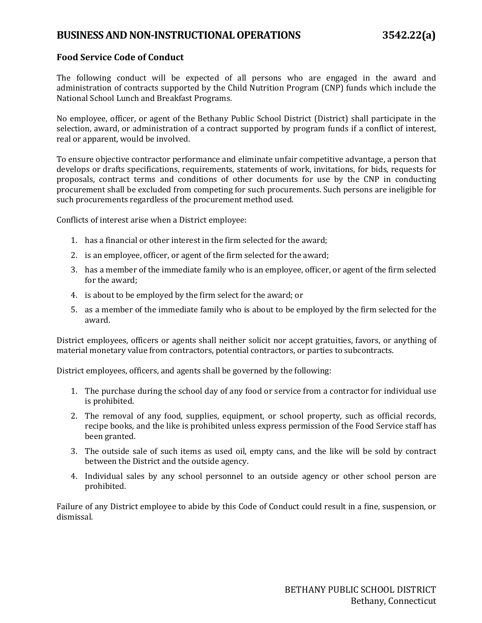## **Food Service Code of Conduct**

The following conduct will be expected of all persons who are engaged in the award and administration of contracts supported by the Child Nutrition Program (CNP) funds which include the National School Lunch and Breakfast Programs.

No employee, officer, or agent of the Bethany Public School District (District) shall participate in the selection, award, or administration of a contract supported by program funds if a conflict of interest, real or apparent, would be involved.

To ensure objective contractor performance and eliminate unfair competitive advantage, a person that develops or drafts specifications, requirements, statements of work, invitations, for bids, requests for proposals, contract terms and conditions of other documents for use by the CNP in conducting procurement shall be excluded from competing for such procurements. Such persons are ineligible for such procurements regardless of the procurement method used.

Conflicts of interest arise when a District employee:

- 1. has a financial or other interest in the firm selected for the award;
- 2. is an employee, officer, or agent of the firm selected for the award;
- 3. has a member of the immediate family who is an employee, officer, or agent of the firm selected for the award;
- 4. is about to be employed by the firm select for the award; or
- 5. as a member of the immediate family who is about to be employed by the firm selected for the award.

District employees, officers or agents shall neither solicit nor accept gratuities, favors, or anything of material monetary value from contractors, potential contractors, or parties to subcontracts.

District employees, officers, and agents shall be governed by the following:

- 1. The purchase during the school day of any food or service from a contractor for individual use is prohibited.
- 2. The removal of any food, supplies, equipment, or school property, such as official records, recipe books, and the like is prohibited unless express permission of the Food Service staff has been granted.
- 3. The outside sale of such items as used oil, empty cans, and the like will be sold by contract between the District and the outside agency.
- 4. Individual sales by any school personnel to an outside agency or other school person are prohibited.

Failure of any District employee to abide by this Code of Conduct could result in a fine, suspension, or dismissal.